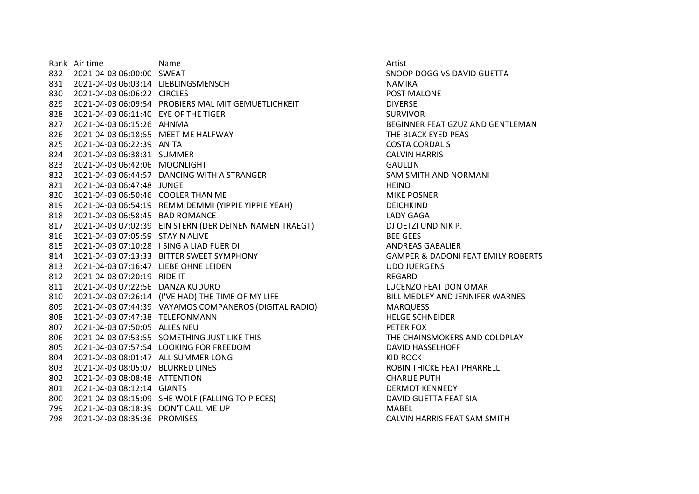Rank Air time Name Name Name Artist 2021-04-03 06:00:00 SWEAT SNOOP DOGG VS DAVID GUETTA 2021-04-03 06:03:14 LIEBLINGSMENSCH NAMIKA 2021-04-03 06:06:22 CIRCLES POST MALONE 829 2021-04-03 06:09:54 PROBIERS MAL MIT GEMUETLICHKEIT DIVERSE 828 2021-04-03 06:11:40 EYE OF THE TIGER SURVIVOR 2021-04-03 06:15:26 AHNMA BEGINNER FEAT GZUZ AND GENTLEMAN 2021-04-03 06:18:55 MEET ME HALFWAY THE BLACK EYED PEAS 2021-04-03 06:22:39 ANITA COSTA CORDALIS 2021-04-03 06:38:31 SUMMER CALVIN HARRIS 2021-04-03 06:42:06 MOONLIGHT GAULLIN 2021-04-03 06:44:57 DANCING WITH A STRANGER SAM SMITH AND NORMANI 821 2021-04-03.06:47:48 JUNGE **HEINO** 820 2021-04-03 06:50:46 COOLER THAN ME MICHAEL MICHAEL MIKE POSNER 2021-04-03 06:54:19 REMMIDEMMI (YIPPIE YIPPIE YEAH) DEICHKIND 2021-04-03 06:58:45 BAD ROMANCE LADY GAGA 2021-04-03 07:02:39 EIN STERN (DER DEINEN NAMEN TRAEGT) DJ OETZI UND NIK P. 2021-04-03 07:05:59 STAYIN ALIVE BEE GEES 2021-04-03 07:10:28 I SING A LIAD FUER DI ANDREAS GABALIER 2021-04-03 07:13:33 BITTER SWEET SYMPHONY GAMPER & DADONI FEAT EMILY ROBERTS 2021-04-03 07:16:47 LIEBE OHNE LEIDEN UDO JUERGENS 2021-04-03 07:20:19 RIDE IT REGARD 2021-04-03 07:22:56 DANZA KUDURO LUCENZO FEAT DON OMAR 810 2021-04-03 07:26:14 (I'VE HAD) THE TIME OF MY LIFE BILL MEDLEY AND JENNIFER WARNES 2021-04-03 07:44:39 VAYAMOS COMPANEROS (DIGITAL RADIO) MARQUESS 2021-04-03 07:47:38 TELEFONMANN HELGE SCHNEIDER 2021-04-03 07:50:05 ALLES NEU PETER FOX 2021-04-03 07:53:55 SOMETHING JUST LIKE THIS THE CHAINSMOKERS AND COLDPLAY 2021-04-03 07:57:54 LOOKING FOR FREEDOM DAVID HASSELHOFF 2021-04-03 08:01:47 ALL SUMMER LONG KID ROCK 2021-04-03 08:05:07 BLURRED LINES ROBIN THICKE FEAT PHARRELL 2021-04-03 08:08:48 ATTENTION CHARLIE PUTH 2021-04-03 08:12:14 GIANTS DERMOT KENNEDY 2021-04-03 08:15:09 SHE WOLF (FALLING TO PIECES) DAVID GUETTA FEAT SIA 2021-04-03 08:18:39 DON'T CALL ME UP MABEL 2021-04-03 08:35:36 PROMISES CALVIN HARRIS FEAT SAM SMITH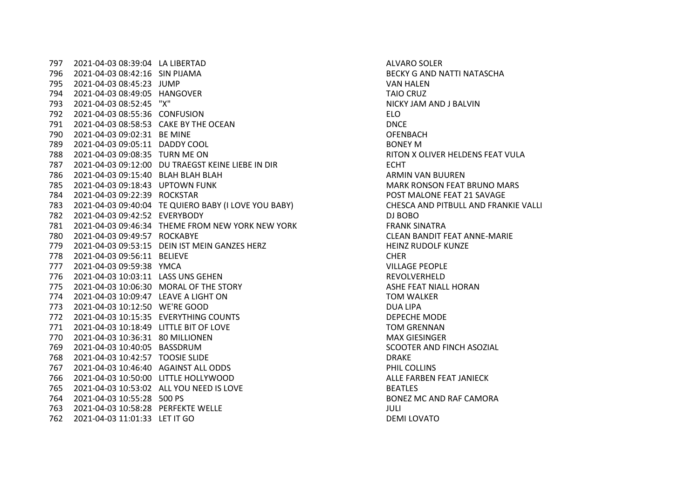2021-04-03 08:39:04 LA LIBERTAD ALVARO SOLER 2021-04-03 08:42:16 SIN PIJAMA BECKY G AND NATTI NATASCHA 2021-04-03 08:45:23 JUMP VAN HALEN 2021-04-03 08:49:05 HANGOVER TAIO CRUZ 2021-04-03 08:52:45 "X" NICKY JAM AND J BALVIN 2021-04-03 08:55:36 CONFUSION ELO 2021-04-03 08:58:53 CAKE BY THE OCEAN DNCE 2021-04-03 09:02:31 BE MINE OFENBACH 2021-04-03 09:05:11 DADDY COOL BONEY M 2021-04-03 09:08:35 TURN ME ON RITON X OLIVER HELDENS FEAT VULA 2021-04-03 09:12:00 DU TRAEGST KEINE LIEBE IN DIR ECHT 2021-04-03 09:15:40 BLAH BLAH BLAH ARMIN VAN BUUREN 2021-04-03 09:18:43 UPTOWN FUNK MARK RONSON FEAT BRUNO MARS 2021-04-03 09:22:39 ROCKSTAR POST MALONE FEAT 21 SAVAGE 2021-04-03 09:40:04 TE QUIERO BABY (I LOVE YOU BABY) CHESCA AND PITBULL AND FRANKIE VALLI 2021-04-03 09:42:52 EVERYBODY DJ BOBO 2021-04-03 09:46:34 THEME FROM NEW YORK NEW YORK FRANK SINATRA 2021-04-03 09:49:57 ROCKABYE CLEAN BANDIT FEAT ANNE-MARIE 2021-04-03 09:53:15 DEIN IST MEIN GANZES HERZ HEINZ RUDOLF KUNZE 2021-04-03 09:56:11 BELIEVE CHER 2021-04-03 09:59:38 YMCA VILLAGE PEOPLE 2021-04-03 10:03:11 LASS UNS GEHEN REVOLVERHELD 775 2021-04-03 10:06:30 MORAL OF THE STORY ASHE FEAT NIALL HORAN 2021-04-03 10:09:47 LEAVE A LIGHT ON TOM WALKER 2021-04-03 10:12:50 WE'RE GOOD DUA LIPA 2021-04-03 10:15:35 EVERYTHING COUNTS DEPECHE MODE 2021-04-03 10:18:49 LITTLE BIT OF LOVE TOM GRENNAN 2021-04-03 10:36:31 80 MILLIONEN MAX GIESINGER 2021-04-03 10:40:05 BASSDRUM SCOOTER AND FINCH ASOZIAL 2021-04-03 10:42:57 TOOSIE SLIDE DRAKE 2021-04-03 10:46:40 AGAINST ALL ODDS PHIL COLLINS 766 2021-04-03 10:50:00 LITTLE HOLLYWOOD **ALLE FARBEN FEAT JANIECK**  2021-04-03 10:53:02 ALL YOU NEED IS LOVE BEATLES 2021-04-03 10:55:28 500 PS BONEZ MC AND RAF CAMORA 2021-04-03 10:58:28 PERFEKTE WELLE JULI 2021-04-03 11:01:33 LET IT GO DEMI LOVATO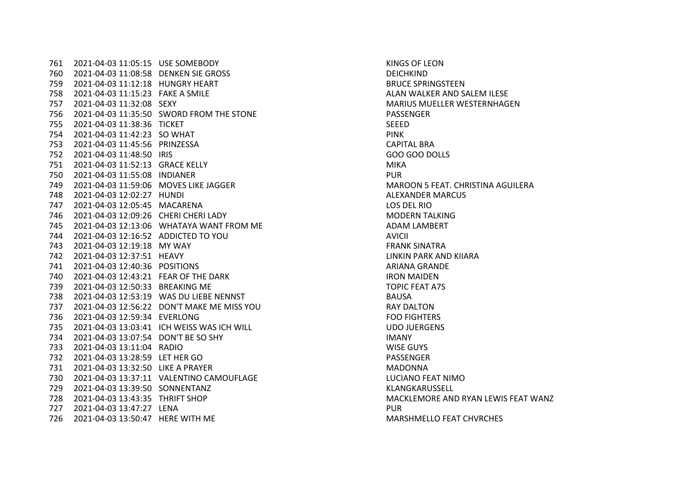2021-04-03 11:05:15 USE SOMEBODY KINGS OF LEON 2021-04-03 11:08:58 DENKEN SIE GROSS DEICHKIND 2021-04-03 11:12:18 HUNGRY HEART BRUCE SPRINGSTEEN 2021-04-03 11:15:23 FAKE A SMILE ALAN WALKER AND SALEM ILESE 2021-04-03 11:32:08 SEXY MARIUS MUELLER WESTERNHAGEN 2021-04-03 11:35:50 SWORD FROM THE STONE PASSENGER 2021-04-03 11:38:36 TICKET SEEED 2021-04-03 11:42:23 SO WHAT PINK 2021-04-03 11:45:56 PRINZESSA CAPITAL BRA 2021-04-03 11:48:50 IRIS GOO GOO DOLLS 2021-04-03 11:52:13 GRACE KELLY MIKA 2021-04-03 11:55:08 INDIANER PUR 2021-04-03 11:59:06 MOVES LIKE JAGGER MAROON 5 FEAT. CHRISTINA AGUILERA 2021-04-03 12:02:27 HUNDI ALEXANDER MARCUS 2021-04-03 12:05:45 MACARENA LOS DEL RIO 2021-04-03 12:09:26 CHERI CHERI LADY MODERN TALKING 2021-04-03 12:13:06 WHATAYA WANT FROM ME ADAM LAMBERT 2021-04-03 12:16:52 ADDICTED TO YOU AVICII 2021-04-03 12:19:18 MY WAY FRANK SINATRA 2021-04-03 12:37:51 HEAVY LINKIN PARK AND KIIARA 2021-04-03 12:40:36 POSITIONS ARIANA GRANDE 2021-04-03 12:43:21 FEAR OF THE DARK IRON MAIDEN 2021-04-03 12:50:33 BREAKING ME TOPIC FEAT A7S 2021-04-03 12:53:19 WAS DU LIEBE NENNST BAUSA 2021-04-03 12:56:22 DON'T MAKE ME MISS YOU RAY DALTON 2021-04-03 12:59:34 EVERLONG FOO FIGHTERS 2021-04-03 13:03:41 ICH WEISS WAS ICH WILL UDO JUERGENS 2021-04-03 13:07:54 DON'T BE SO SHY IMANY 2021-04-03 13:11:04 RADIO WISE GUYS 2021-04-03 13:28:59 LET HER GO PASSENGER 2021-04-03 13:32:50 LIKE A PRAYER MADONNA 2021-04-03 13:37:11 VALENTINO CAMOUFLAGE LUCIANO FEAT NIMO 2021-04-03 13:39:50 SONNENTANZ KLANGKARUSSELL 2021-04-03 13:43:35 THRIFT SHOP MACKLEMORE AND RYAN LEWIS FEAT WANZ 2021-04-03 13:47:27 LENA PUR 2021-04-03 13:50:47 HERE WITH ME MARSHMELLO FEAT CHVRCHES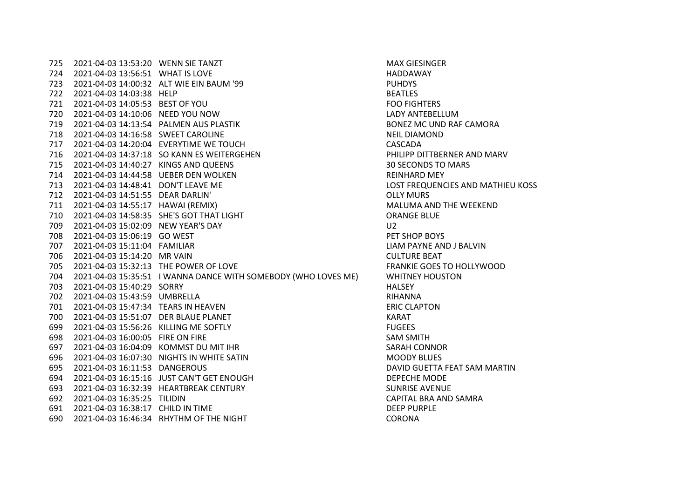2021-04-03 13:53:20 WENN SIE TANZT MAX GIESINGER 2021-04-03 13:56:51 WHAT IS LOVE HADDAWAY 2021-04-03 14:00:32 ALT WIE EIN BAUM '99 PUHDYS 2021-04-03 14:03:38 HELP BEATLES 2021-04-03 14:05:53 BEST OF YOU FOO FIGHTERS 2021-04-03 14:10:06 NEED YOU NOW LADY ANTEBELLUM 2021-04-03 14:13:54 PALMEN AUS PLASTIK BONEZ MC UND RAF CAMORA 2021-04-03 14:16:58 SWEET CAROLINE NEIL DIAMOND 2021-04-03 14:20:04 EVERYTIME WE TOUCH CASCADA 2021-04-03 14:37:18 SO KANN ES WEITERGEHEN PHILIPP DITTBERNER AND MARV 2021-04-03 14:40:27 KINGS AND QUEENS 30 SECONDS TO MARS 2021-04-03 14:44:58 UEBER DEN WOLKEN REINHARD MEY 2021-04-03 14:48:41 DON'T LEAVE ME LOST FREQUENCIES AND MATHIEU KOSS 2021-04-03 14:51:55 DEAR DARLIN' OLLY MURS 2021-04-03 14:55:17 HAWAI (REMIX) MALUMA AND THE WEEKEND 2021-04-03 14:58:35 SHE'S GOT THAT LIGHT ORANGE BLUE 2021-04-03 15:02:09 NEW YEAR'S DAY U2 2021-04-03 15:06:19 GO WEST PET SHOP BOYS 2021-04-03 15:11:04 FAMILIAR LIAM PAYNE AND J BALVIN 2021-04-03 15:14:20 MR VAIN CULTURE BEAT 2021-04-03 15:32:13 THE POWER OF LOVE FRANKIE GOES TO HOLLYWOOD 2021-04-03 15:35:51 I WANNA DANCE WITH SOMEBODY (WHO LOVES ME) WHITNEY HOUSTON 2021-04-03 15:40:29 SORRY HALSEY 2021-04-03 15:43:59 UMBRELLA RIHANNA 2021-04-03 15:47:34 TEARS IN HEAVEN ERIC CLAPTON 2021-04-03 15:51:07 DER BLAUE PLANET KARAT 2021-04-03 15:56:26 KILLING ME SOFTLY FUGEES 2021-04-03 16:00:05 FIRE ON FIRE SAM SMITH 697 2021-04-03 16:04:09 KOMMST DU MIT IHR SARAH CONNOR 2021-04-03 16:07:30 NIGHTS IN WHITE SATIN MOODY BLUES 2021-04-03 16:11:53 DANGEROUS DAVID GUETTA FEAT SAM MARTIN 2021-04-03 16:15:16 JUST CAN'T GET ENOUGH DEPECHE MODE 2021-04-03 16:32:39 HEARTBREAK CENTURY SUNRISE AVENUE 2021-04-03 16:35:25 TILIDIN CAPITAL BRA AND SAMRA 2021-04-03 16:38:17 CHILD IN TIME DEEP PURPLE 2021-04-03 16:46:34 RHYTHM OF THE NIGHT CORONA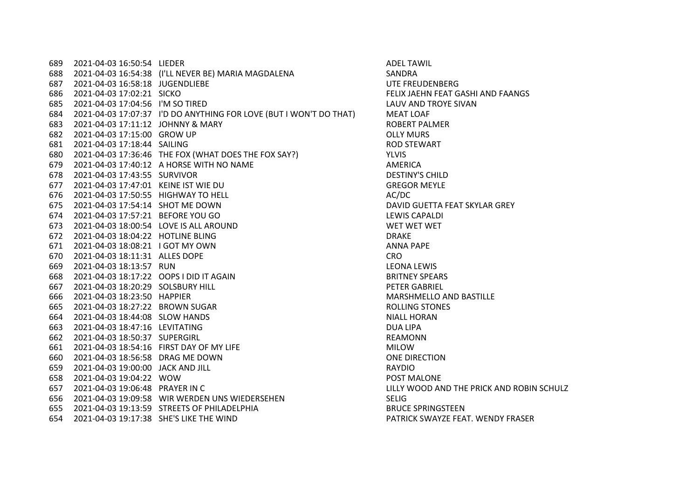2021-04-03 16:50:54 LIEDER ADEL TAWIL 2021-04-03 16:54:38 (I'LL NEVER BE) MARIA MAGDALENA SANDRA 2021-04-03 16:58:18 JUGENDLIEBE UTE FREUDENBERG 2021-04-03 17:02:21 SICKO FELIX JAEHN FEAT GASHI AND FAANGS 2021-04-03 17:04:56 I'M SO TIRED LAUV AND TROYE SIVAN 2021-04-03 17:07:37 I'D DO ANYTHING FOR LOVE (BUT I WON'T DO THAT) MEAT LOAF 2021-04-03 17:11:12 JOHNNY & MARY ROBERT PALMER 2021-04-03 17:15:00 GROW UP OLLY MURS 2021-04-03 17:18:44 SAILING ROD STEWART 2021-04-03 17:36:46 THE FOX (WHAT DOES THE FOX SAY?) YLVIS 2021-04-03 17:40:12 A HORSE WITH NO NAME AMERICA 2021-04-03 17:43:55 SURVIVOR DESTINY'S CHILD 2021-04-03 17:47:01 KEINE IST WIE DU GREGOR MEYLE 676 2021-04-03 17:50:55 HIGHWAY TO HELL 20021-04-03 17:50:55 HIGHWAY TO HELL 2021-04-03 17:54:14 SHOT ME DOWN DAVID GUETTA FEAT SKYLAR GREY 2021-04-03 17:57:21 BEFORE YOU GO LEWIS CAPALDI 2021-04-03 18:00:54 LOVE IS ALL AROUND WET WET WET 2021-04-03 18:04:22 HOTLINE BLING DRAKE 671 2021-04-03 18:08:21 I GOT MY OWN ANNA PAPE 2021-04-03 18:11:31 ALLES DOPE CRO 2021-04-03 18:13:57 RUN LEONA LEWIS 2021-04-03 18:17:22 OOPS I DID IT AGAIN BRITNEY SPEARS 2021-04-03 18:20:29 SOLSBURY HILL PETER GABRIEL 2021-04-03 18:23:50 HAPPIER MARSHMELLO AND BASTILLE 2021-04-03 18:27:22 BROWN SUGAR ROLLING STONES 2021-04-03 18:44:08 SLOW HANDS NIALL HORAN 2021-04-03 18:47:16 LEVITATING DUA LIPA 2021-04-03 18:50:37 SUPERGIRL REAMONN 661 2021-04-03 18:54:16 FIRST DAY OF MY LIFE MILOW 2021-04-03 18:56:58 DRAG ME DOWN ONE DIRECTION 2021-04-03 19:00:00 JACK AND JILL RAYDIO 2021-04-03 19:04:22 WOW POST MALONE 2021-04-03 19:06:48 PRAYER IN C LILLY WOOD AND THE PRICK AND ROBIN SCHULZ 2021-04-03 19:09:58 WIR WERDEN UNS WIEDERSEHEN SELIG 2021-04-03 19:13:59 STREETS OF PHILADELPHIA BRUCE SPRINGSTEEN 2021-04-03 19:17:38 SHE'S LIKE THE WIND PATRICK SWAYZE FEAT. WENDY FRASER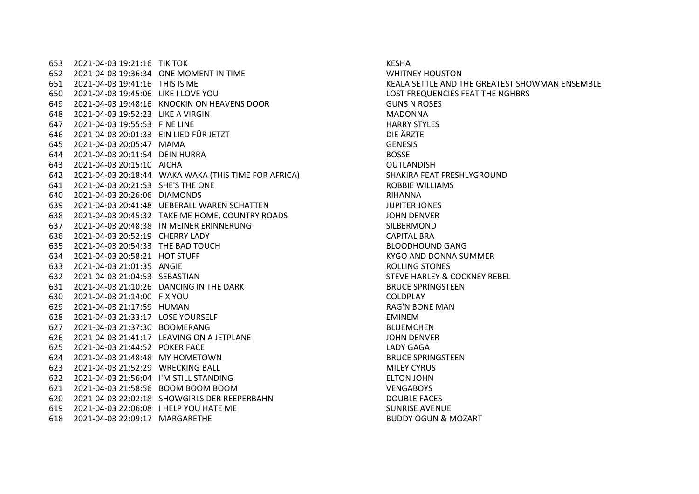653 2021-04-03 19:21:16 TIK TOK KESHA KESHA 2021-04-03 19:36:34 ONE MOMENT IN TIME WHITNEY HOUSTON 2021-04-03 19:41:16 THIS IS ME KEALA SETTLE AND THE GREATEST SHOWMAN ENSEMBLE 2021-04-03 19:45:06 LIKE I LOVE YOU LOST FREQUENCIES FEAT THE NGHBRS 2021-04-03 19:48:16 KNOCKIN ON HEAVENS DOOR GUNS N ROSES 2021-04-03 19:52:23 LIKE A VIRGIN MADONNA 2021-04-03 19:55:53 FINE LINE HARRY STYLES 2021-04-03 20:01:33 EIN LIED FÜR JETZT DIE ÄRZTE 2021-04-03 20:05:47 MAMA GENESIS 2021-04-03 20:11:54 DEIN HURRA BOSSE 2021-04-03 20:15:10 AICHA OUTLANDISH 2021-04-03 20:18:44 WAKA WAKA (THIS TIME FOR AFRICA) SHAKIRA FEAT FRESHLYGROUND 2021-04-03 20:21:53 SHE'S THE ONE ROBBIE WILLIAMS 2021-04-03 20:26:06 DIAMONDS RIHANNA 2021-04-03 20:41:48 UEBERALL WAREN SCHATTEN JUPITER JONES 2021-04-03 20:45:32 TAKE ME HOME, COUNTRY ROADS JOHN DENVER 2021-04-03 20:48:38 IN MEINER ERINNERUNG SILBERMOND 2021-04-03 20:52:19 CHERRY LADY CAPITAL BRA 2021-04-03 20:54:33 THE BAD TOUCH BLOODHOUND GANG 2021-04-03 20:58:21 HOT STUFF KYGO AND DONNA SUMMER 2021-04-03 21:01:35 ANGIE ROLLING STONES 2021-04-03 21:04:53 SEBASTIAN STEVE HARLEY & COCKNEY REBEL 2021-04-03 21:10:26 DANCING IN THE DARK BRUCE SPRINGSTEEN 2021-04-03 21:14:00 FIX YOU COLDPLAY 2021-04-03 21:17:59 HUMAN RAG'N'BONE MAN 2021-04-03 21:33:17 LOSE YOURSELF EMINEM 2021-04-03 21:37:30 BOOMERANG BLUEMCHEN 2021-04-03 21:41:17 LEAVING ON A JETPLANE JOHN DENVER 2021-04-03 21:44:52 POKER FACE LADY GAGA 2021-04-03 21:48:48 MY HOMETOWN BRUCE SPRINGSTEEN 2021-04-03 21:52:29 WRECKING BALL MILEY CYRUS 2021-04-03 21:56:04 I'M STILL STANDING ELTON JOHN 2021-04-03 21:58:56 BOOM BOOM BOOM VENGABOYS 2021-04-03 22:02:18 SHOWGIRLS DER REEPERBAHN DOUBLE FACES 2021-04-03 22:06:08 I HELP YOU HATE ME SUNRISE AVENUE 2021-04-03 22:09:17 MARGARETHE BUDDY OGÜN & MOZART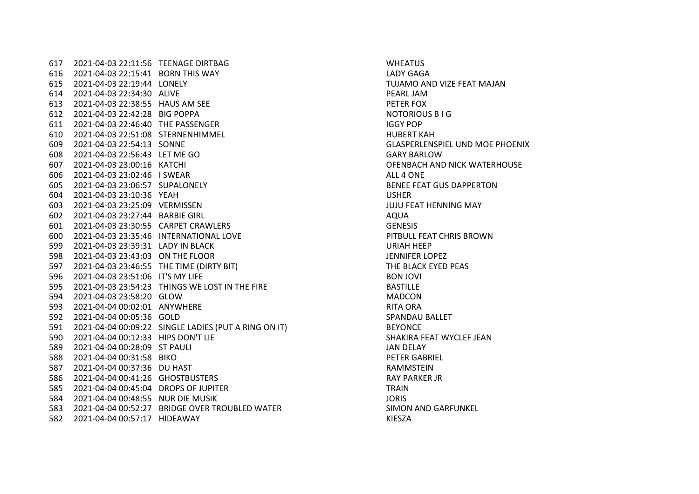2021-04-03 22:11:56 TEENAGE DIRTBAG WHEATUS 2021-04-03 22:15:41 BORN THIS WAY LADY GAGA 2021-04-03 22:19:44 LONELY TUJAMO AND VIZE FEAT MAJAN 2021-04-03 22:34:30 ALIVE PEARL JAM 2021-04-03 22:38:55 HAUS AM SEE PETER FOX 2021-04-03 22:42:28 BIG POPPA NOTORIOUS B I G 2021-04-03 22:46:40 THE PASSENGER IGGY POP 2021-04-03 22:51:08 STERNENHIMMEL HUBERT KAH 2021-04-03 22:54:13 SONNE GLASPERLENSPIEL UND MOE PHOENIX 2021-04-03 22:56:43 LET ME GO GARY BARLOW 2021-04-03 23:00:16 KATCHI OFENBACH AND NICK WATERHOUSE 2021-04-03 23:02:46 I SWEAR ALL 4 ONE 2021-04-03 23:06:57 SUPALONELY BENEE FEAT GUS DAPPERTON 2021-04-03 23:10:36 YEAH USHER 2021-04-03 23:25:09 VERMISSEN JUJU FEAT HENNING MAY 2021-04-03 23:27:44 BARBIE GIRL AQUA 2021-04-03 23:30:55 CARPET CRAWLERS GENESIS 2021-04-03 23:35:46 INTERNATIONAL LOVE PITBULL FEAT CHRIS BROWN 2021-04-03 23:39:31 LADY IN BLACK URIAH HEEP 2021-04-03 23:43:03 ON THE FLOOR JENNIFER LOPEZ 2021-04-03 23:46:55 THE TIME (DIRTY BIT) THE BLACK EYED PEAS 2021-04-03 23:51:06 IT'S MY LIFE BON JOVI 2021-04-03 23:54:23 THINGS WE LOST IN THE FIRE BASTILLE 2021-04-03 23:58:20 GLOW MADCON 2021-04-04 00:02:01 ANYWHERE RITA ORA 2021-04-04 00:05:36 GOLD SPANDAU BALLET 2021-04-04 00:09:22 SINGLE LADIES (PUT A RING ON IT) BEYONCE 2021-04-04 00:12:33 HIPS DON'T LIE SHAKIRA FEAT WYCLEF JEAN 2021-04-04 00:28:09 ST PAULI JAN DELAY 2021-04-04 00:31:58 BIKO PETER GABRIEL 2021-04-04 00:37:36 DU HAST RAMMSTEIN 2021-04-04 00:41:26 GHOSTBUSTERS RAY PARKER JR 2021-04-04 00:45:04 DROPS OF JUPITER TRAIN 2021-04-04 00:48:55 NUR DIE MUSIK JORIS 2021-04-04 00:52:27 BRIDGE OVER TROUBLED WATER SIMON AND GARFUNKEL 2021-04-04 00:57:17 HIDEAWAY KIESZA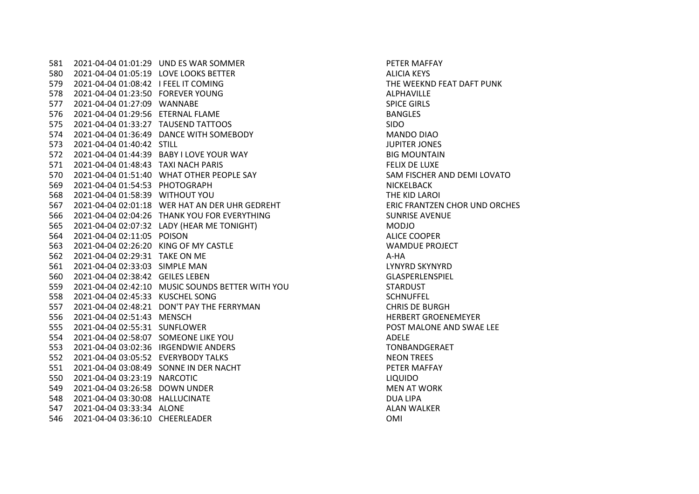2021-04-04 01:01:29 UND ES WAR SOMMER PETER MAFFAY 580 2021-04-04 01:05:19 LOVE LOOKS BETTER ALICIA KEYS 2021-04-04 01:08:42 I FEEL IT COMING THE WEEKND FEAT DAFT PUNK 2021-04-04 01:23:50 FOREVER YOUNG ALPHAVILLE 2021-04-04 01:27:09 WANNABE SPICE GIRLS 576 2021-04-04 01:29:56 ETERNAL FLAME BANGLES 2021-04-04 01:33:27 TAUSEND TATTOOS SIDO 2021-04-04 01:36:49 DANCE WITH SOMEBODY MANDO DIAO 2021-04-04 01:40:42 STILL JUPITER JONES 2021-04-04 01:44:39 BABY I LOVE YOUR WAY BIG MOUNTAIN 2021-04-04 01:48:43 TAXI NACH PARIS FELIX DE LUXE 2021-04-04 01:51:40 WHAT OTHER PEOPLE SAY SAM FISCHER AND DEMI LOVATO 2021-04-04 01:54:53 PHOTOGRAPH NICKELBACK 2021-04-04 01:58:39 WITHOUT YOU THE KID LAROI 2021-04-04 02:01:18 WER HAT AN DER UHR GEDREHT ERIC FRANTZEN CHOR UND ORCHES 2021-04-04 02:04:26 THANK YOU FOR EVERYTHING SUNRISE AVENUE 2021-04-04 02:07:32 LADY (HEAR ME TONIGHT) MODJO 2021-04-04 02:11:05 POISON ALICE COOPER 2021-04-04 02:26:20 KING OF MY CASTLE WAMDUE PROJECT 562 2021-04-04 02:29:31 TAKE ON ME 2021-04-04 02:33:03 SIMPLE MAN LYNYRD SKYNYRD 2021-04-04 02:38:42 GEILES LEBEN GLASPERLENSPIEL 2021-04-04 02:42:10 MUSIC SOUNDS BETTER WITH YOU STARDUST 2021-04-04 02:45:33 KUSCHEL SONG SCHNUFFEL 2021-04-04 02:48:21 DON'T PAY THE FERRYMAN CHRIS DE BURGH 2021-04-04 02:51:43 MENSCH HERBERT GROENEMEYER 2021-04-04 02:55:31 SUNFLOWER POST MALONE AND SWAE LEE 2021-04-04 02:58:07 SOMEONE LIKE YOU ADELE 2021-04-04 03:02:36 IRGENDWIE ANDERS TONBANDGERAET 2021-04-04 03:05:52 EVERYBODY TALKS NEON TREES 2021-04-04 03:08:49 SONNE IN DER NACHT PETER MAFFAY 2021-04-04 03:23:19 NARCOTIC LIQUIDO 2021-04-04 03:26:58 DOWN UNDER MEN AT WORK 2021-04-04 03:30:08 HALLUCINATE DUA LIPA 2021-04-04 03:33:34 ALONE ALAN WALKER 2021-04-04 03:36:10 CHEERLEADER OMI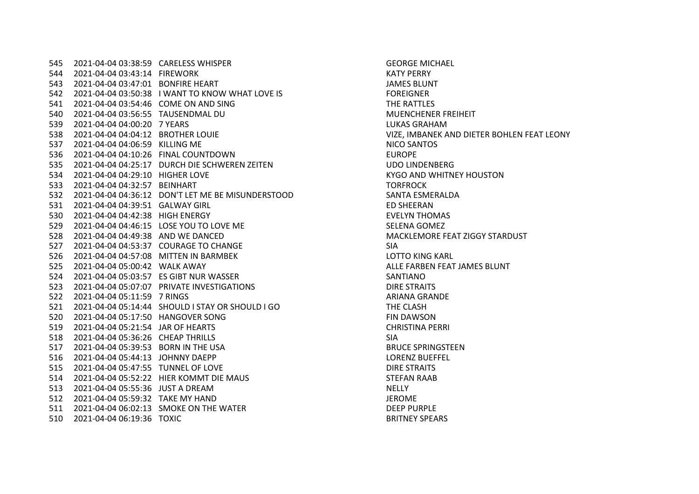2021-04-04 03:38:59 CARELESS WHISPER GEORGE MICHAEL 2021-04-04 03:43:14 FIREWORK KATY PERRY 2021-04-04 03:47:01 BONFIRE HEART JAMES BLUNT 2021-04-04 03:50:38 I WANT TO KNOW WHAT LOVE IS FOREIGNER 2021-04-04 03:54:46 COME ON AND SING THE RATTLES 2021-04-04 03:56:55 TAUSENDMAL DU MUENCHENER FREIHEIT 2021-04-04 04:00:20 7 YEARS LUKAS GRAHAM 2021-04-04 04:04:12 BROTHER LOUIE VIZE, IMBANEK AND DIETER BOHLEN FEAT LEONY 2021-04-04 04:06:59 KILLING ME NICO SANTOS 2021-04-04 04:10:26 FINAL COUNTDOWN EUROPE 2021-04-04 04:25:17 DURCH DIE SCHWEREN ZEITEN UDO LINDENBERG 2021-04-04 04:29:10 HIGHER LOVE KYGO AND WHITNEY HOUSTON 2021-04-04 04:32:57 BEINHART TORFROCK 2021-04-04 04:36:12 DON'T LET ME BE MISUNDERSTOOD SANTA ESMERALDA 2021-04-04 04:39:51 GALWAY GIRL ED SHEERAN 2021-04-04 04:42:38 HIGH ENERGY EVELYN THOMAS 529 2021-04-04 04:46:15 LOSE YOU TO LOVE ME SELENA GOMEZ 2021-04-04 04:49:38 AND WE DANCED MACKLEMORE FEAT ZIGGY STARDUST 2021-04-04 04:53:37 COURAGE TO CHANGE SIA 2021-04-04 04:57:08 MITTEN IN BARMBEK LOTTO KING KARL 2021-04-04 05:00:42 WALK AWAY ALLE FARBEN FEAT JAMES BLUNT 2021-04-04 05:03:57 ES GIBT NUR WASSER SANTIANO 2021-04-04 05:07:07 PRIVATE INVESTIGATIONS DIRE STRAITS 522 2021-04-04 05:11:59 7 RINGS ARIANA GRANDE 2021-04-04 05:14:44 SHOULD I STAY OR SHOULD I GO THE CLASH 2021-04-04 05:17:50 HANGOVER SONG FIN DAWSON 2021-04-04 05:21:54 JAR OF HEARTS CHRISTINA PERRI 2021-04-04 05:36:26 CHEAP THRILLS SIA 517 2021-04-04 05:39:53 BORN IN THE USA BRUCE SPRINGSTEEN 2021-04-04 05:44:13 JOHNNY DAEPP LORENZ BUEFFEL 2021-04-04 05:47:55 TUNNEL OF LOVE DIRE STRAITS 2021-04-04 05:52:22 HIER KOMMT DIE MAUS STEFAN RAAB 2021-04-04 05:55:36 JUST A DREAM NELLY 2021-04-04 05:59:32 TAKE MY HAND JEROME 511 2021-04-04 06:02:13 SMOKE ON THE WATER SMOKE BURPLE 2021-04-04 06:19:36 TOXIC BRITNEY SPEARS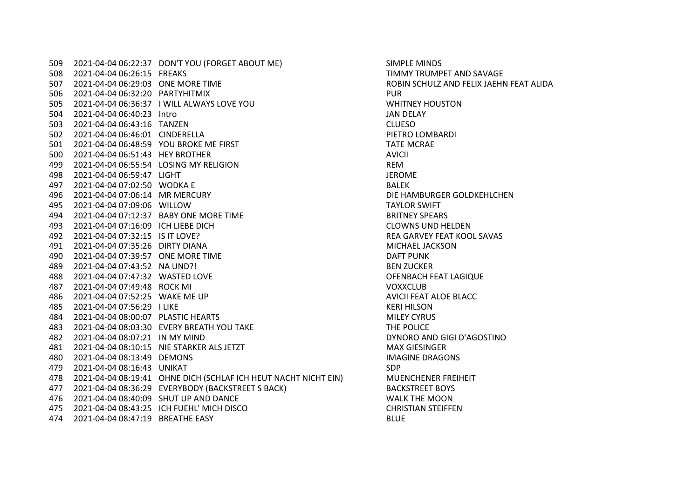2021-04-04 06:22:37 DON'T YOU (FORGET ABOUT ME) SIMPLE MINDS 2021-04-04 06:26:15 FREAKS TIMMY TRUMPET AND SAVAGE 2021-04-04 06:29:03 ONE MORE TIME ROBIN SCHULZ AND FELIX JAEHN FEAT ALIDA 2021-04-04 06:32:20 PARTYHITMIX PUR 2021-04-04 06:36:37 I WILL ALWAYS LOVE YOU WHITNEY HOUSTON 2021-04-04 06:40:23 Intro JAN DELAY 2021-04-04 06:43:16 TANZEN CLUESO 2021-04-04 06:46:01 CINDERELLA PIETRO LOMBARDI 2021-04-04 06:48:59 YOU BROKE ME FIRST TATE MCRAE 2021-04-04 06:51:43 HEY BROTHER AVICII 2021-04-04 06:55:54 LOSING MY RELIGION REM 2021-04-04 06:59:47 LIGHT JEROME 2021-04-04 07:02:50 WODKA E BALEK 2021-04-04 07:06:14 MR MERCURY DIE HAMBURGER GOLDKEHLCHEN 2021-04-04 07:09:06 WILLOW TAYLOR SWIFT 2021-04-04 07:12:37 BABY ONE MORE TIME BRITNEY SPEARS 2021-04-04 07:16:09 ICH LIEBE DICH CLOWNS UND HELDEN 2021-04-04 07:32:15 IS IT LOVE? REA GARVEY FEAT KOOL SAVAS 2021-04-04 07:35:26 DIRTY DIANA MICHAEL JACKSON 2021-04-04 07:39:57 ONE MORE TIME DAFT PUNK 2021-04-04 07:43:52 NA UND?! BEN ZUCKER 2021-04-04 07:47:32 WASTED LOVE OFENBACH FEAT LAGIQUE 2021-04-04 07:49:48 ROCK MI VOXXCLUB 2021-04-04 07:52:25 WAKE ME UP AVICII FEAT ALOE BLACC 2021-04-04 07:56:29 I LIKE KERI HILSON 2021-04-04 08:00:07 PLASTIC HEARTS MILEY CYRUS 2021-04-04 08:03:30 EVERY BREATH YOU TAKE THE POLICE 2021-04-04 08:07:21 IN MY MIND DYNORO AND GIGI D'AGOSTINO 2021-04-04 08:10:15 NIE STÄRKER ALS JETZT MAX GIESINGER 2021-04-04 08:13:49 DEMONS IMAGINE DRAGONS 2021-04-04 08:16:43 UNIKAT SDP 2021-04-04 08:19:41 OHNE DICH (SCHLAF ICH HEUT NACHT NICHT EIN) MUENCHENER FREIHEIT 2021-04-04 08:36:29 EVERYBODY (BACKSTREET S BACK) BACKSTREET BOYS 2021-04-04 08:40:09 SHUT UP AND DANCE WALK THE MOON 2021-04-04 08:43:25 ICH FUEHL' MICH DISCO CHRISTIAN STEIFFEN 2021-04-04 08:47:19 BREATHE EASY BLUE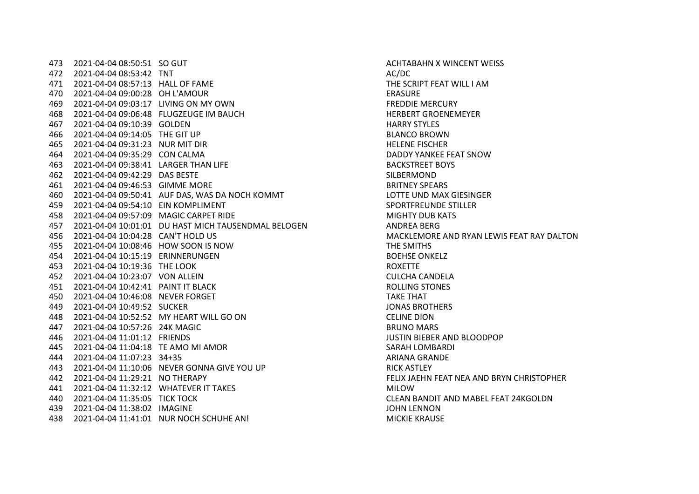2021-04-04 08:50:51 SO GUT ACHTABAHN X WINCENT WEISS 472 2021-04-04 08:53:42 TNT AC/DC 472 2021-04-04 08:53:42 TNT 2021-04-04 08:57:13 HALL OF FAME THE SCRIPT FEAT WILL I AM 2021-04-04 09:00:28 OH L'AMOUR ERASURE 2021-04-04 09:03:17 LIVING ON MY OWN FREDDIE MERCURY 2021-04-04 09:06:48 FLUGZEUGE IM BAUCH HERBERT GROENEMEYER 2021-04-04 09:10:39 GOLDEN HARRY STYLES 2021-04-04 09:14:05 THE GIT UP BLANCO BROWN 2021-04-04 09:31:23 NUR MIT DIR HELENE FISCHER 2021-04-04 09:35:29 CON CALMA DADDY YANKEE FEAT SNOW 2021-04-04 09:38:41 LARGER THAN LIFE BACKSTREET BOYS 2021-04-04 09:42:29 DAS BESTE SILBERMOND 2021-04-04 09:46:53 GIMME MORE BRITNEY SPEARS 2021-04-04 09:50:41 AUF DAS, WAS DA NOCH KOMMT LOTTE UND MAX GIESINGER 2021-04-04 09:54:10 EIN KOMPLIMENT SPORTFREUNDE STILLER 2021-04-04 09:57:09 MAGIC CARPET RIDE MIGHTY DUB KATS 2021-04-04 10:01:01 DU HAST MICH TAUSENDMAL BELOGEN ANDREA BERG 2021-04-04 10:04:28 CAN'T HOLD US MACKLEMORE AND RYAN LEWIS FEAT RAY DALTON 2021-04-04 10:08:46 HOW SOON IS NOW THE SMITHS 2021-04-04 10:15:19 ERINNERUNGEN BOEHSE ONKELZ 2021-04-04 10:19:36 THE LOOK ROXETTE 2021-04-04 10:23:07 VON ALLEIN CULCHA CANDELA 2021-04-04 10:42:41 PAINT IT BLACK ROLLING STONES 2021-04-04 10:46:08 NEVER FORGET TAKE THAT 2021-04-04 10:49:52 SUCKER JONAS BROTHERS 2021-04-04 10:52:52 MY HEART WILL GO ON CELINE DION 2021-04-04 10:57:26 24K MAGIC BRUNO MARS 2021-04-04 11:01:12 FRIENDS JUSTIN BIEBER AND BLOODPOP 2021-04-04 11:04:18 TE AMO MI AMOR SARAH LOMBARDI 2021-04-04 11:07:23 34+35 ARIANA GRANDE 2021-04-04 11:10:06 NEVER GONNA GIVE YOU UP RICK ASTLEY 2021-04-04 11:29:21 NO THERAPY FELIX JAEHN FEAT NEA AND BRYN CHRISTOPHER 441 2021-04-04 11:32:12 WHATEVER IT TAKES MILOW 2021-04-04 11:35:05 TICK TOCK CLEAN BANDIT AND MABEL FEAT 24KGOLDN 2021-04-04 11:38:02 IMAGINE JOHN LENNON 2021-04-04 11:41:01 NUR NOCH SCHUHE AN! MICKIE KRAUSE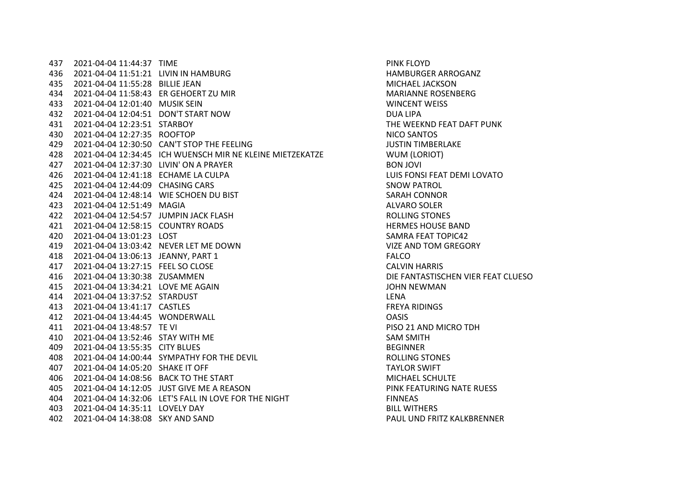2021-04-04 11:44:37 TIME PINK FLOYD 2021-04-04 11:51:21 LIVIN IN HAMBURG HAMBURGER ARROGANZ 2021-04-04 11:55:28 BILLIE JEAN MICHAEL JACKSON 2021-04-04 11:58:43 ER GEHOERT ZU MIR MARIANNE ROSENBERG 2021-04-04 12:01:40 MUSIK SEIN WINCENT WEISS 2021-04-04 12:04:51 DON'T START NOW DUA LIPA 2021-04-04 12:23:51 STARBOY THE WEEKND FEAT DAFT PUNK 2021-04-04 12:27:35 ROOFTOP NICO SANTOS 2021-04-04 12:30:50 CAN'T STOP THE FEELING JUSTIN TIMBERLAKE 2021-04-04 12:34:45 ICH WUENSCH MIR NE KLEINE MIETZEKATZE WUM (LORIOT) 2021-04-04 12:37:30 LIVIN' ON A PRAYER BON JOVI 2021-04-04 12:41:18 ECHAME LA CULPA LUIS FONSI FEAT DEMI LOVATO 2021-04-04 12:44:09 CHASING CARS SNOW PATROL 2021-04-04 12:48:14 WIE SCHOEN DU BIST SARAH CONNOR 2021-04-04 12:51:49 MAGIA ALVARO SOLER 2021-04-04 12:54:57 JUMPIN JACK FLASH ROLLING STONES 2021-04-04 12:58:15 COUNTRY ROADS HERMES HOUSE BAND 2021-04-04 13:01:23 LOST SAMRA FEAT TOPIC42 2021-04-04 13:03:42 NEVER LET ME DOWN VIZE AND TOM GREGORY 2021-04-04 13:06:13 JEANNY, PART 1 FALCO 2021-04-04 13:27:15 FEEL SO CLOSE CALVIN HARRIS 2021-04-04 13:30:38 ZUSAMMEN DIE FANTASTISCHEN VIER FEAT CLUESO 2021-04-04 13:34:21 LOVE ME AGAIN JOHN NEWMAN 2021-04-04 13:37:52 STARDUST LENA 2021-04-04 13:41:17 CASTLES FREYA RIDINGS 2021-04-04 13:44:45 WONDERWALL OASIS 2021-04-04 13:48:57 TE VI PISO 21 AND MICRO TDH 2021-04-04 13:52:46 STAY WITH ME SAM SMITH 2021-04-04 13:55:35 CITY BLUES BEGINNER 2021-04-04 14:00:44 SYMPATHY FOR THE DEVIL ROLLING STONES 2021-04-04 14:05:20 SHAKE IT OFF TAYLOR SWIFT 2021-04-04 14:08:56 BACK TO THE START MICHAEL SCHULTE 2021-04-04 14:12:05 JUST GIVE ME A REASON PINK FEATURING NATE RUESS 2021-04-04 14:32:06 LET'S FALL IN LOVE FOR THE NIGHT FINNEAS 2021-04-04 14:35:11 LOVELY DAY BILL WITHERS 2021-04-04 14:38:08 SKY AND SAND PAUL UND FRITZ KALKBRENNER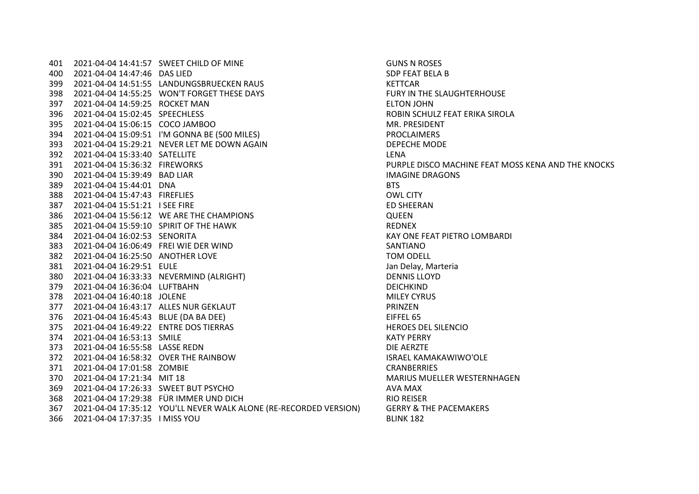2021-04-04 14:41:57 SWEET CHILD OF MINE GUNS N ROSES 2021-04-04 14:47:46 DAS LIED SDP FEAT BELA B 2021-04-04 14:51:55 LANDUNGSBRUECKEN RAUS KETTCAR 398 2021-04-04 14:55:25 WON'T FORGET THESE DAYS FURY IN THE SLAUGHTERHOUSE 2021-04-04 14:59:25 ROCKET MAN ELTON JOHN 2021-04-04 15:02:45 SPEECHLESS ROBIN SCHULZ FEAT ERIKA SIROLA 2021-04-04 15:06:15 COCO JAMBOO MR. PRESIDENT 2021-04-04 15:09:51 I'M GONNA BE (500 MILES) PROCLAIMERS 2021-04-04 15:29:21 NEVER LET ME DOWN AGAIN DEPECHE MODE 2021-04-04 15:33:40 SATELLITE LENA 2021-04-04 15:36:32 FIREWORKS PURPLE DISCO MACHINE FEAT MOSS KENA AND THE KNOCKS 2021-04-04 15:39:49 BAD LIAR IMAGINE DRAGONS 2021-04-04 15:44:01 DNA BTS 2021-04-04 15:47:43 FIREFLIES OWL CITY 2021-04-04 15:51:21 I SEE FIRE ED SHEERAN 2021-04-04 15:56:12 WE ARE THE CHAMPIONS QUEEN 2021-04-04 15:59:10 SPIRIT OF THE HAWK REDNEX 2021-04-04 16:02:53 SENORITA KAY ONE FEAT PIETRO LOMBARDI 2021-04-04 16:06:49 FREI WIE DER WIND SANTIANO 2021-04-04 16:25:50 ANOTHER LOVE TOM ODELL 2021-04-04 16:29:51 EULE Jan Delay, Marteria 2021-04-04 16:33:33 NEVERMIND (ALRIGHT) DENNIS LLOYD 2021-04-04 16:36:04 LUFTBAHN DEICHKIND 2021-04-04 16:40:18 JOLENE MILEY CYRUS 2021-04-04 16:43:17 ALLES NUR GEKLAUT PRINZEN 2021-04-04 16:45:43 BLUE (DA BA DEE) EIFFEL 65 2021-04-04 16:49:22 ENTRE DOS TIERRAS HEROES DEL SILENCIO 2021-04-04 16:53:13 SMILE KATY PERRY 2021-04-04 16:55:58 LASSE REDN DIE AERZTE 2021-04-04 16:58:32 OVER THE RAINBOW ISRAEL KAMAKAWIWO'OLE 2021-04-04 17:01:58 ZOMBIE CRANBERRIES 2021-04-04 17:21:34 MIT 18 MARIUS MUELLER WESTERNHAGEN 2021-04-04 17:26:33 SWEET BUT PSYCHO AVA MAX 2021-04-04 17:29:38 FÜR IMMER UND DICH RIO REISER 2021-04-04 17:35:12 YOU'LL NEVER WALK ALONE (RE-RECORDED VERSION) GERRY & THE PACEMAKERS 2021-04-04 17:37:35 I MISS YOU BLINK 182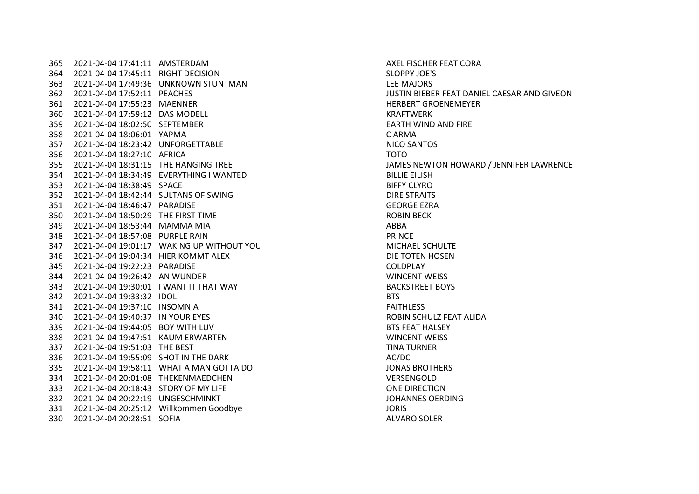2021-04-04 17:41:11 AMSTERDAM AXEL FISCHER FEAT CORA 2021-04-04 17:45:11 RIGHT DECISION SLOPPY JOE'S 2021-04-04 17:49:36 UNKNOWN STUNTMAN LEE MAJORS 2021-04-04 17:52:11 PEACHES JUSTIN BIEBER FEAT DANIEL CAESAR AND GIVEON 2021-04-04 17:55:23 MAENNER HERBERT GROENEMEYER 2021-04-04 17:59:12 DAS MODELL KRAFTWERK 2021-04-04 18:02:50 SEPTEMBER EARTH WIND AND FIRE 2021-04-04 18:06:01 YAPMA C ARMA 2021-04-04 18:23:42 UNFORGETTABLE NICO SANTOS 2021-04-04 18:27:10 AFRICA TOTO 2021-04-04 18:34:49 EVERYTHING I WANTED BILLIE EILISH 2021-04-04 18:38:49 SPACE BIFFY CLYRO 2021-04-04 18:42:44 SULTANS OF SWING DIRE STRAITS 2021-04-04 18:46:47 PARADISE GEORGE EZRA 2021-04-04 18:50:29 THE FIRST TIME ROBIN BECK 2021-04-04 18:53:44 MAMMA MIA ABBA 2021-04-04 18:57:08 PURPLE RAIN PRINCE 2021-04-04 19:01:17 WAKING UP WITHOUT YOU MICHAEL SCHULTE 2021-04-04 19:04:34 HIER KOMMT ALEX DIE TOTEN HOSEN 2021-04-04 19:22:23 PARADISE COLDPLAY 2021-04-04 19:26:42 AN WUNDER WINCENT WEISS 2021-04-04 19:30:01 I WANT IT THAT WAY BACKSTREET BOYS 2021-04-04 19:33:32 IDOL BTS 2021-04-04 19:37:10 INSOMNIA FAITHLESS 2021-04-04 19:40:37 IN YOUR EYES ROBIN SCHULZ FEAT ALIDA 2021-04-04 19:44:05 BOY WITH LUV BTS FEAT HALSEY 338 2021-04-04 19:47:51 KAUM ERWARTEN 2021-04-04 19:51:03 THE BEST TINA TURNER 336 2021-04-04 19:55:09 SHOT IN THE DARK AC/DC 2021-04-04 19:58:11 WHAT A MAN GOTTA DO JONAS BROTHERS 2021-04-04 20:01:08 THEKENMAEDCHEN VERSENGOLD 2021-04-04 20:18:43 STORY OF MY LIFE ONE DIRECTION 332 2021-04-04 20:22:19 UNGESCHMINKT JOHANNES OERDING 2021-04-04 20:25:12 Willkommen Goodbye JORIS 2021-04-04 20:28:51 SOFIA ALVARO SOLER

JAMES NEWTON HOWARD / JENNIFER LAWRENCE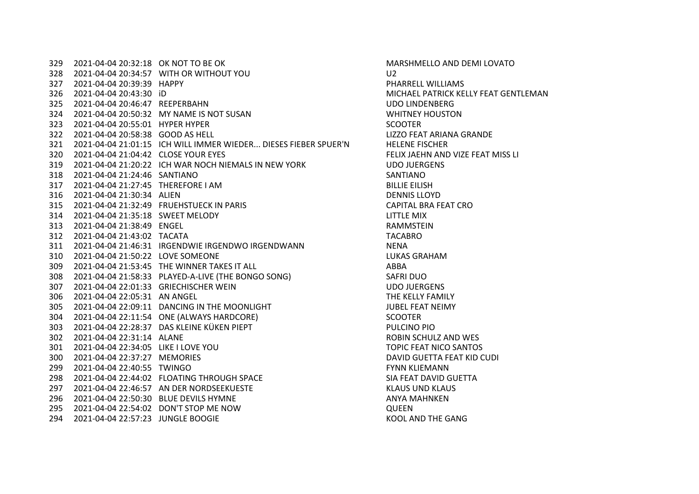2021-04-04 20:32:18 OK NOT TO BE OK MARSHMELLO AND DEMI LOVATO 2021-04-04 20:34:57 WITH OR WITHOUT YOU U2 2021-04-04 20:39:39 HAPPY PHARRELL WILLIAMS 2021-04-04 20:43:30 iD MICHAEL PATRICK KELLY FEAT GENTLEMAN 2021-04-04 20:46:47 REEPERBAHN UDO LINDENBERG 2021-04-04 20:50:32 MY NAME IS NOT SUSAN WHITNEY HOUSTON 323 2021-04-04 20:55:01 HYPER HYPER SCOOTER SCOOTER 2021-04-04 20:58:38 GOOD AS HELL LIZZO FEAT ARIANA GRANDE 2021-04-04 21:01:15 ICH WILL IMMER WIEDER... DIESES FIEBER SPUER'N HELENE FISCHER 2021-04-04 21:04:42 CLOSE YOUR EYES FELIX JAEHN AND VIZE FEAT MISS LI 2021-04-04 21:20:22 ICH WAR NOCH NIEMALS IN NEW YORK UDO JUERGENS 2021-04-04 21:24:46 SANTIANO SANTIANO 2021-04-04 21:27:45 THEREFORE I AM BILLIE EILISH 2021-04-04 21:30:34 ALIEN DENNIS LLOYD 2021-04-04 21:32:49 FRUEHSTUECK IN PARIS CAPITAL BRA FEAT CRO 2021-04-04 21:35:18 SWEET MELODY LITTLE MIX 2021-04-04 21:38:49 ENGEL RAMMSTEIN 2021-04-04 21:43:02 TACATA TACABRO 2021-04-04 21:46:31 IRGENDWIE IRGENDWO IRGENDWANN NENA 2021-04-04 21:50:22 LOVE SOMEONE LUKAS GRAHAM 2021-04-04 21:53:45 THE WINNER TAKES IT ALL ABBA 2021-04-04 21:58:33 PLAYED-A-LIVE (THE BONGO SONG) SAFRI DUO 2021-04-04 22:01:33 GRIECHISCHER WEIN UDO JUERGENS 2021-04-04 22:05:31 AN ANGEL THE KELLY FAMILY 305 2021-04-04 22:09:11 DANCING IN THE MOONLIGHT JUBEL FEAT NEIMY 2021-04-04 22:11:54 ONE (ALWAYS HARDCORE) SCOOTER 2021-04-04 22:28:37 DAS KLEINE KÜKEN PIEPT PULCINO PIO 2021-04-04 22:31:14 ALANE ROBIN SCHULZ AND WES 2021-04-04 22:34:05 LIKE I LOVE YOU TOPIC FEAT NICO SANTOS 2021-04-04 22:37:27 MEMORIES DAVID GUETTA FEAT KID CUDI 2021-04-04 22:40:55 TWINGO FYNN KLIEMANN 2021-04-04 22:44:02 FLOATING THROUGH SPACE SIA FEAT DAVID GUETTA 2021-04-04 22:46:57 AN DER NORDSEEKUESTE KLAUS UND KLAUS 296 2021-04-04 22:50:30 BLUE DEVILS HYMNE ANYA MAHNKEN ANYA MAHNKEN 2021-04-04 22:54:02 DON'T STOP ME NOW QUEEN 2021-04-04 22:57:23 JUNGLE BOOGIE KOOL AND THE GANG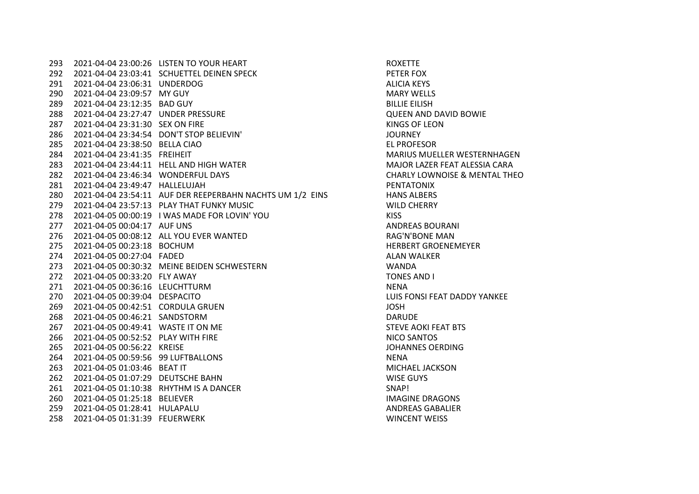293 2021-04-04 23:00:26 LISTEN TO YOUR HEART ROYEN ROXETTE 2021-04-04 23:03:41 SCHUETTEL DEINEN SPECK PETER FOX 2021-04-04 23:06:31 UNDERDOG ALICIA KEYS 2021-04-04 23:09:57 MY GUY MARY WELLS 2021-04-04 23:12:35 BAD GUY BILLIE EILISH 2021-04-04 23:27:47 UNDER PRESSURE QUEEN AND DAVID BOWIE 2021-04-04 23:31:30 SEX ON FIRE KINGS OF LEON 2021-04-04 23:34:54 DON'T STOP BELIEVIN' JOURNEY 2021-04-04 23:38:50 BELLA CIAO EL PROFESOR 2021-04-04 23:41:35 FREIHEIT MARIUS MUELLER WESTERNHAGEN 2021-04-04 23:44:11 HELL AND HIGH WATER MAJOR LAZER FEAT ALESSIA CARA 2021-04-04 23:46:34 WONDERFUL DAYS CHARLY LOWNOISE & MENTAL THEO 2021-04-04 23:49:47 HALLELUJAH PENTATONIX 280 2021-04-04 23:54:11 AUF DER REEPERBAHN NACHTS UM 1/2 EINS HANS ALBERS 2021-04-04 23:57:13 PLAY THAT FUNKY MUSIC WILD CHERRY 2021-04-05 00:00:19 I WAS MADE FOR LOVIN' YOU KISS 2021-04-05 00:04:17 AUF UNS ANDREAS BOURANI 2021-04-05 00:08:12 ALL YOU EVER WANTED RAG'N'BONE MAN 2021-04-05 00:23:18 BOCHUM HERBERT GROENEMEYER 2021-04-05 00:27:04 FADED ALAN WALKER 2021-04-05 00:30:32 MEINE BEIDEN SCHWESTERN WANDA 2021-04-05 00:33:20 FLY AWAY TONES AND I 2021-04-05 00:36:16 LEUCHTTURM NENA 2021-04-05 00:39:04 DESPACITO LUIS FONSI FEAT DADDY YANKEE 2021-04-05 00:42:51 CORDULA GRUEN JOSH 2021-04-05 00:46:21 SANDSTORM DARUDE 2021-04-05 00:49:41 WASTE IT ON ME STEVE AOKI FEAT BTS 2021-04-05 00:52:52 PLAY WITH FIRE NICO SANTOS 2021-04-05 00:56:22 KREISE JOHANNES OERDING 2021-04-05 00:59:56 99 LUFTBALLONS NENA 2021-04-05 01:03:46 BEAT IT MICHAEL JACKSON 2021-04-05 01:07:29 DEUTSCHE BAHN WISE GUYS 2021-04-05 01:10:38 RHYTHM IS A DANCER SNAP! 2021-04-05 01:25:18 BELIEVER IMAGINE DRAGONS 2021-04-05 01:28:41 HULAPALU ANDREAS GABALIER 2021-04-05 01:31:39 FEUERWERK WINCENT WEISS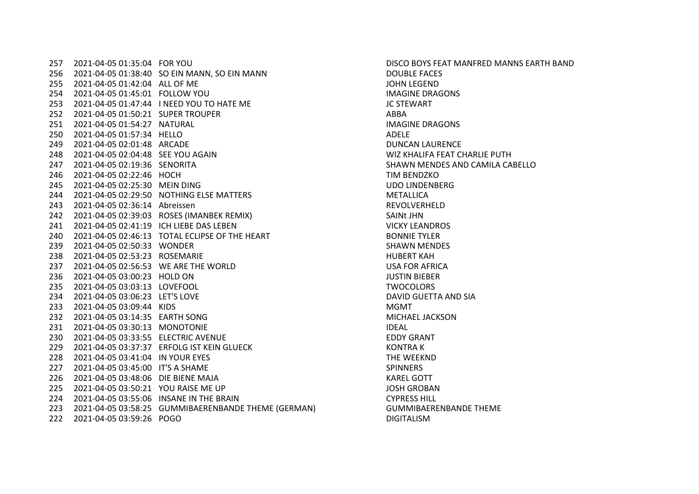2021-04-05 01:35:04 FOR YOU DISCO BOYS FEAT MANFRED MANNS EARTH BAND 2021-04-05 01:38:40 SO EIN MANN, SO EIN MANN DOUBLE FACES 2021-04-05 01:42:04 ALL OF ME JOHN LEGEND 2021-04-05 01:45:01 FOLLOW YOU IMAGINE DRAGONS 2021-04-05 01:47:44 I NEED YOU TO HATE ME JC STEWART 2021-04-05 01:50:21 SUPER TROUPER ABBA 2021-04-05 01:54:27 NATURAL IMAGINE DRAGONS 2021-04-05 01:57:34 HELLO ADELE 2021-04-05 02:01:48 ARCADE DUNCAN LAURENCE 2021-04-05 02:04:48 SEE YOU AGAIN WIZ KHALIFA FEAT CHARLIE PUTH 2021-04-05 02:19:36 SENORITA SHAWN MENDES AND CAMILA CABELLO 2021-04-05 02:22:46 HOCH TIM BENDZKO 2021-04-05 02:25:30 MEIN DING UDO LINDENBERG 2021-04-05 02:29:50 NOTHING ELSE MATTERS METALLICA 2021-04-05 02:36:14 Abreissen REVOLVERHELD 2021-04-05 02:39:03 ROSES (IMANBEK REMIX) SAINt JHN 2021-04-05 02:41:19 ICH LIEBE DAS LEBEN VICKY LEANDROS 2021-04-05 02:46:13 TOTAL ECLIPSE OF THE HEART BONNIE TYLER 2021-04-05 02:50:33 WONDER SHAWN MENDES 2021-04-05 02:53:23 ROSEMARIE HUBERT KAH 2021-04-05 02:56:53 WE ARE THE WORLD USA FOR AFRICA 2021-04-05 03:00:23 HOLD ON JUSTIN BIEBER 2021-04-05 03:03:13 LOVEFOOL TWOCOLORS 2021-04-05 03:06:23 LET'S LOVE DAVID GUETTA AND SIA 2021-04-05 03:09:44 KIDS MGMT 2021-04-05 03:14:35 EARTH SONG MICHAEL JACKSON 2021-04-05 03:30:13 MONOTONIE IDEAL 2021-04-05 03:33:55 ELECTRIC AVENUE EDDY GRANT 229 2021-04-05 03:37:37 ERFOLG IST KEIN GLUECK KONTRA K 2021-04-05 03:41:04 IN YOUR EYES THE WEEKND 2021-04-05 03:45:00 IT'S A SHAME SPINNERS 226 2021-04-05 03:48:06 DIE BIENE MAJA KAREL GOTT 2021-04-05 03:50:21 YOU RAISE ME UP JOSH GROBAN 2021-04-05 03:55:06 INSANE IN THE BRAIN CYPRESS HILL 2021-04-05 03:58:25 GUMMIBAERENBANDE THEME (GERMAN) GUMMIBAERENBANDE THEME 2021-04-05 03:59:26 POGO DIGITALISM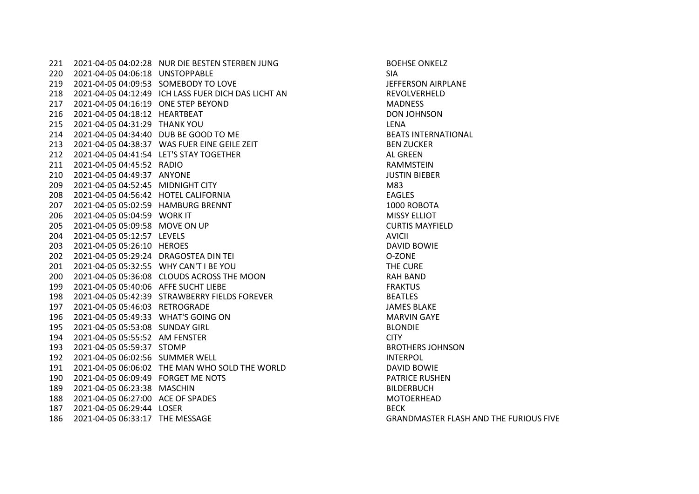2021-04-05 04:02:28 NUR DIE BESTEN STERBEN JUNG BOEHSE ONKELZ 2021-04-05 04:06:18 UNSTOPPABLE SIA 2021-04-05 04:09:53 SOMEBODY TO LOVE JEFFERSON AIRPLANE 2021-04-05 04:12:49 ICH LASS FUER DICH DAS LICHT AN REVOLVERHELD 2021-04-05 04:16:19 ONE STEP BEYOND MADNESS 2021-04-05 04:18:12 HEARTBEAT DON JOHNSON 2021-04-05 04:31:29 THANK YOU LENA 2021-04-05 04:34:40 DUB BE GOOD TO ME BEATS INTERNATIONAL 2021-04-05 04:38:37 WAS FUER EINE GEILE ZEIT BEN ZUCKER 212 2021-04-05 04:41:54 LET'S STAY TOGETHER ALGREEN 2021-04-05 04:45:52 RADIO RAMMSTEIN 2021-04-05 04:49:37 ANYONE JUSTIN BIEBER 2021-04-05 04:52:45 MIDNIGHT CITY M83 2021-04-05 04:56:42 HOTEL CALIFORNIA EAGLES 2021-04-05 05:02:59 HAMBURG BRENNT 1000 ROBOTA 206 2021-04-05 05:04:59 WORK IT MISSY ELLIOT 2021-04-05 05:09:58 MOVE ON UP CURTIS MAYFIELD 2021-04-05 05:12:57 LEVELS AVICII 2021-04-05 05:26:10 HEROES DAVID BOWIE 2021-04-05 05:29:24 DRAGOSTEA DIN TEI O-ZONE 2021-04-05 05:32:55 WHY CAN'T I BE YOU THE CURE 2021-04-05 05:36:08 CLOUDS ACROSS THE MOON RAH BAND 2021-04-05 05:40:06 AFFE SUCHT LIEBE FRAKTUS 2021-04-05 05:42:39 STRAWBERRY FIELDS FOREVER BEATLES 2021-04-05 05:46:03 RETROGRADE JAMES BLAKE 2021-04-05 05:49:33 WHAT'S GOING ON MARVIN GAYE 2021-04-05 05:53:08 SUNDAY GIRL BLONDIE 2021-04-05 05:55:52 AM FENSTER CITY 2021-04-05 05:59:37 STOMP BROTHERS JOHNSON 2021-04-05 06:02:56 SUMMER WELL INTERPOL 2021-04-05 06:06:02 THE MAN WHO SOLD THE WORLD DAVID BOWIE 2021-04-05 06:09:49 FORGET ME NOTS PATRICE RUSHEN 2021-04-05 06:23:38 MASCHIN BILDERBUCH 2021-04-05 06:27:00 ACE OF SPADES MOTOERHEAD 2021-04-05 06:29:44 LOSER BECK 2021-04-05 06:33:17 THE MESSAGE GRANDMASTER FLASH AND THE FURIOUS FIVE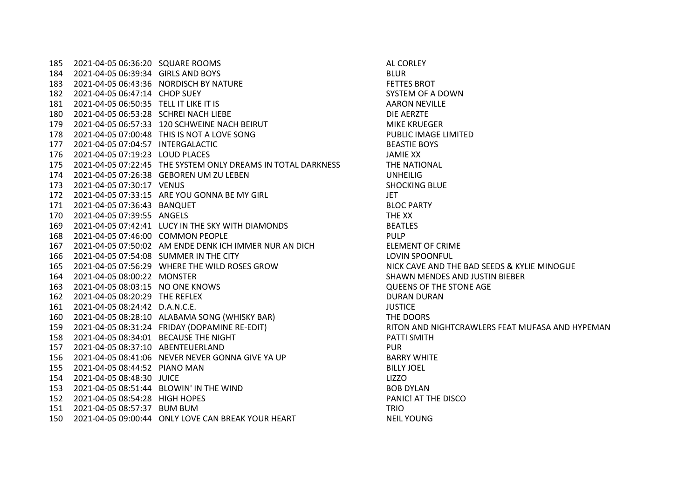2021-04-05 06:36:20 SQUARE ROOMS AL CORLEY 2021-04-05 06:39:34 GIRLS AND BOYS BLUR 2021-04-05 06:43:36 NORDISCH BY NATURE FETTES BROT 2021-04-05 06:47:14 CHOP SUEY SYSTEM OF A DOWN 2021-04-05 06:50:35 TELL IT LIKE IT IS AARON NEVILLE 2021-04-05 06:53:28 SCHREI NACH LIEBE DIE AERZTE 2021-04-05 06:57:33 120 SCHWEINE NACH BEIRUT MIKE KRUEGER 178 2021-04-05 07:00:48 THIS IS NOT A LOVE SONG PUBLIC IMAGE LIMITED 2021-04-05 07:04:57 INTERGALACTIC BEASTIE BOYS 2021-04-05 07:19:23 LOUD PLACES JAMIE XX 2021-04-05 07:22:45 THE SYSTEM ONLY DREAMS IN TOTAL DARKNESS THE NATIONAL 2021-04-05 07:26:38 GEBOREN UM ZU LEBEN UNHEILIG 2021-04-05 07:30:17 VENUS SHOCKING BLUE 2021-04-05 07:33:15 ARE YOU GONNA BE MY GIRL JET 2021-04-05 07:36:43 BANQUET BLOC PARTY 2021-04-05 07:39:55 ANGELS THE XX 2021-04-05 07:42:41 LUCY IN THE SKY WITH DIAMONDS BEATLES 2021-04-05 07:46:00 COMMON PEOPLE PULP 2021-04-05 07:50:02 AM ENDE DENK ICH IMMER NUR AN DICH ELEMENT OF CRIME 2021-04-05 07:54:08 SUMMER IN THE CITY LOVIN SPOONFUL 2021-04-05 07:56:29 WHERE THE WILD ROSES GROW NICK CAVE AND THE BAD SEEDS & KYLIE MINOGUE 2021-04-05 08:00:22 MONSTER SHAWN MENDES AND JUSTIN BIEBER 2021-04-05 08:03:15 NO ONE KNOWS QUEENS OF THE STONE AGE 2021-04-05 08:20:29 THE REFLEX DURAN DURAN 2021-04-05 08:24:42 D.A.N.C.E. JUSTICE 2021-04-05 08:28:10 ALABAMA SONG (WHISKY BAR) THE DOORS 159 2021-04-05 08:31:24 FRIDAY (DOPAMINE RE-EDIT) RITON AND NIGHTCRAWLERS FEAT MUFASA AND HYPEMAN 158 2021-04-05 08:34:01 BECAUSE THE NIGHT PATTI SMITH 2021-04-05 08:37:10 ABENTEUERLAND PUR 2021-04-05 08:41:06 NEVER NEVER GONNA GIVE YA UP BARRY WHITE 2021-04-05 08:44:52 PIANO MAN BILLY JOEL 2021-04-05 08:48:30 JUICE LIZZO 153 2021-04-05 08:51:44 BLOWIN' IN THE WIND BOB DYLAN 2021-04-05 08:54:28 HIGH HOPES PANIC! AT THE DISCO 2021-04-05 08:57:37 BUM BUM TRIO 2021-04-05 09:00:44 ONLY LOVE CAN BREAK YOUR HEART NEIL YOUNG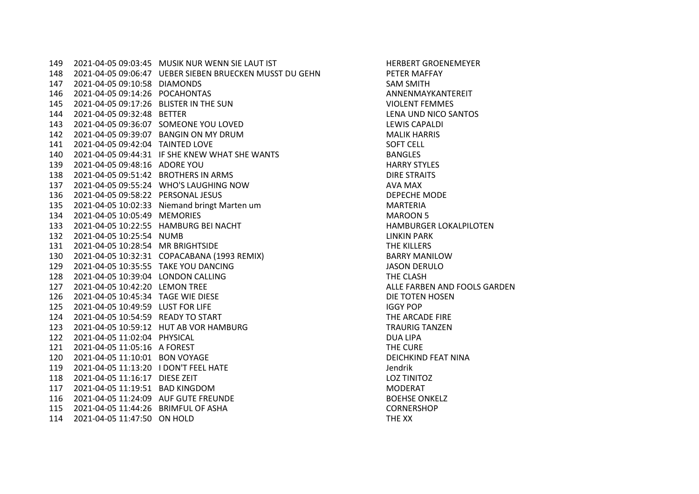149 2021-04-05 09:03:45 MUSIK NUR WENN SIE LAUT IST HERBERT GROENEMERER HERBERT GROENEMEYER 2021-04-05 09:06:47 UEBER SIEBEN BRUECKEN MUSST DU GEHN PETER MAFFAY 2021-04-05 09:10:58 DIAMONDS SAM SMITH 2021-04-05 09:14:26 POCAHONTAS ANNENMAYKANTEREIT 2021-04-05 09:17:26 BLISTER IN THE SUN VIOLENT FEMMES 2021-04-05 09:32:48 BETTER LENA UND NICO SANTOS 2021-04-05 09:36:07 SOMEONE YOU LOVED LEWIS CAPALDI 2021-04-05 09:39:07 BANGIN ON MY DRUM MALIK HARRIS 2021-04-05 09:42:04 TAINTED LOVE SOFT CELL 2021-04-05 09:44:31 IF SHE KNEW WHAT SHE WANTS BANGLES 2021-04-05 09:48:16 ADORE YOU HARRY STYLES 2021-04-05 09:51:42 BROTHERS IN ARMS DIRE STRAITS 2021-04-05 09:55:24 WHO'S LAUGHING NOW AVA MAX 2021-04-05 09:58:22 PERSONAL JESUS DEPECHE MODE 2021-04-05 10:02:33 Niemand bringt Marten um MARTERIA 2021-04-05 10:05:49 MEMORIES MAROON 5 2021-04-05 10:22:55 HAMBURG BEI NACHT HAMBURGER LOKALPILOTEN 2021-04-05 10:25:54 NUMB LINKIN PARK 2021-04-05 10:28:54 MR BRIGHTSIDE THE KILLERS 2021-04-05 10:32:31 COPACABANA (1993 REMIX) BARRY MANILOW 2021-04-05 10:35:55 TAKE YOU DANCING JASON DERULO 2021-04-05 10:39:04 LONDON CALLING THE CLASH 127 2021-04-05 10:42:20 LEMON TREE ALLE FARBEN AND FOOLS GARDEN 2021-04-05 10:45:34 TAGE WIE DIESE DIE TOTEN HOSEN 2021-04-05 10:49:59 LUST FOR LIFE IGGY POP 124 2021-04-05 10:54:59 READY TO START THE ARCADE FIRE 2021-04-05 10:59:12 HUT AB VOR HAMBURG TRAURIG TANZEN 2021-04-05 11:02:04 PHYSICAL DUA LIPA 2021-04-05 11:05:16 A FOREST THE CURE 2021-04-05 11:10:01 BON VOYAGE DEICHKIND FEAT NINA 2021-04-05 11:13:20 I DON'T FEEL HATE Jendrik 2021-04-05 11:16:17 DIESE ZEIT LOZ TINITOZ 2021-04-05 11:19:51 BAD KINGDOM MODERAT 116 2021-04-05 11:24:09 AUF GUTE FREUNDE **BOEHSE ON AUF SERVICE ACCOMPT** BOEHSE ONKELZ 2021-04-05 11:44:26 BRIMFUL OF ASHA CORNERSHOP 2021-04-05 11:47:50 ON HOLD THE XX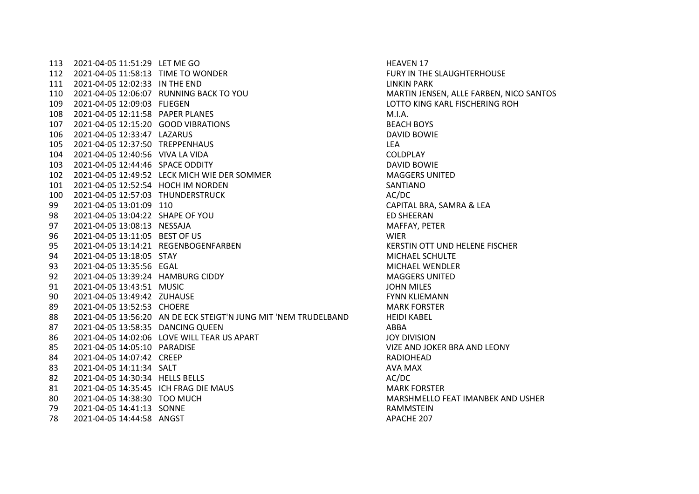113 2021-04-05 11:51:29 LET ME GO HEAVEN 17 2021-04-05 11:58:13 TIME TO WONDER FURY IN THE SLAUGHTERHOUSE 2021-04-05 12:02:33 IN THE END LINKIN PARK 2021-04-05 12:06:07 RUNNING BACK TO YOU MARTIN JENSEN, ALLE FARBEN, NICO SANTOS 2021-04-05 12:09:03 FLIEGEN LOTTO KING KARL FISCHERING ROH 2021-04-05 12:11:58 PAPER PLANES M.I.A. 2021-04-05 12:15:20 GOOD VIBRATIONS BEACH BOYS 2021-04-05 12:33:47 LAZARUS DAVID BOWIE 2021-04-05 12:37:50 TREPPENHAUS LEA 2021-04-05 12:40:56 VIVA LA VIDA COLDPLAY 2021-04-05 12:44:46 SPACE ODDITY DAVID BOWIE 2021-04-05 12:49:52 LECK MICH WIE DER SOMMER MAGGERS UNITED 2021-04-05 12:52:54 HOCH IM NORDEN SANTIANO 2021-04-05 12:57:03 THUNDERSTRUCK AC/DC 2021-04-05 13:01:09 110 CAPITAL BRA, SAMRA & LEA 2021-04-05 13:04:22 SHAPE OF YOU ED SHEERAN 2021-04-05 13:08:13 NESSAJA MAFFAY, PETER 2021-04-05 13:11:05 BEST OF US WIER 2021-04-05 13:14:21 REGENBOGENFARBEN KERSTIN OTT UND HELENE FISCHER 2021-04-05 13:18:05 STAY MICHAEL SCHULTE 2021-04-05 13:35:56 EGAL MICHAEL WENDLER 2021-04-05 13:39:24 HAMBURG CIDDY MAGGERS UNITED 2021-04-05 13:43:51 MUSIC JOHN MILES 2021-04-05 13:49:42 ZUHAUSE FYNN KLIEMANN 2021-04-05 13:52:53 CHOERE MARK FORSTER 2021-04-05 13:56:20 AN DE ECK STEIGT'N JUNG MIT 'NEM TRUDELBAND HEIDI KABEL 2021-04-05 13:58:35 DANCING QUEEN ABBA 2021-04-05 14:02:06 LOVE WILL TEAR US APART JOY DIVISION 2021-04-05 14:05:10 PARADISE VIZE AND JOKER BRA AND LEONY 2021-04-05 14:07:42 CREEP RADIOHEAD 83 2021-04-05 14:11:34 SALT AVA MAX 82 2021-04-05 14:30:34 HELLS BELLS ACODE ACCODE ACCODE ACCODE ACCODE ACCODE ACCODE 2021-04-05 14:35:45 ICH FRAG DIE MAUS MARK FORSTER 2021-04-05 14:38:30 TOO MUCH MARSHMELLO FEAT IMANBEK AND USHER 2021-04-05 14:41:13 SONNE RAMMSTEIN 2021-04-05 14:44:58 ANGST APACHE 207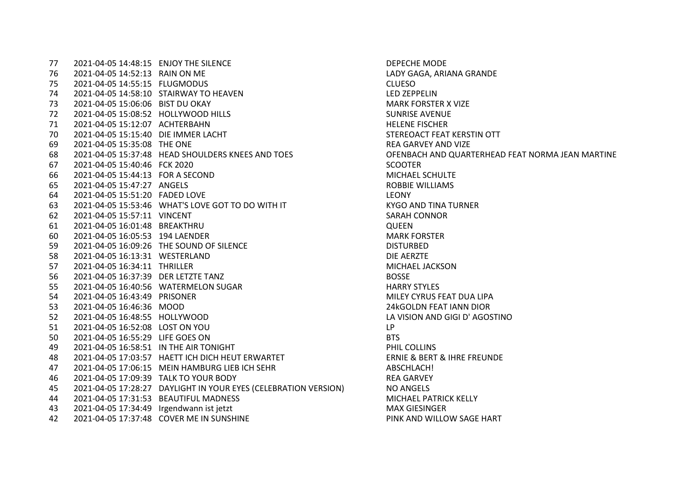2021-04-05 14:48:15 ENJOY THE SILENCE DEPECHE MODE 2021-04-05 14:52:13 RAIN ON ME LADY GAGA, ARIANA GRANDE 2021-04-05 14:55:15 FLUGMODUS CLUESO 2021-04-05 14:58:10 STAIRWAY TO HEAVEN LED ZEPPELIN 2021-04-05 15:06:06 BIST DU OKAY MARK FORSTER X VIZE 2021-04-05 15:08:52 HOLLYWOOD HILLS SUNRISE AVENUE 2021-04-05 15:12:07 ACHTERBAHN HELENE FISCHER 2021-04-05 15:15:40 DIE IMMER LACHT STEREOACT FEAT KERSTIN OTT 2021-04-05 15:35:08 THE ONE REA GARVEY AND VIZE 2021-04-05 15:37:48 HEAD SHOULDERS KNEES AND TOES OFENBACH AND QUARTERHEAD FEAT NORMA JEAN MARTINE 2021-04-05 15:40:46 FCK 2020 SCOOTER 2021-04-05 15:44:13 FOR A SECOND MICHAEL SCHULTE 2021-04-05 15:47:27 ANGELS ROBBIE WILLIAMS 2021-04-05 15:51:20 FADED LOVE LEONY 63 2021-04-05 15:53:46 WHAT'S LOVE GOT TO DO WITH IT KYGO AND TINA TURNER 2021-04-05 15:57:11 VINCENT SARAH CONNOR 2021-04-05 16:01:48 BREAKTHRU QUEEN 2021-04-05 16:05:53 194 LAENDER MARK FORSTER 2021-04-05 16:09:26 THE SOUND OF SILENCE DISTURBED 2021-04-05 16:13:31 WESTERLAND DIE AERZTE 2021-04-05 16:34:11 THRILLER MICHAEL JACKSON 2021-04-05 16:37:39 DER LETZTE TANZ BOSSE 2021-04-05 16:40:56 WATERMELON SUGAR HARRY STYLES 2021-04-05 16:43:49 PRISONER MILEY CYRUS FEAT DUA LIPA 2021-04-05 16:46:36 MOOD 24kGOLDN FEAT IANN DIOR 2021-04-05 16:48:55 HOLLYWOOD LA VISION AND GIGI D' AGOSTINO 2021-04-05 16:52:08 LOST ON YOU LP 2021-04-05 16:55:29 LIFE GOES ON BTS 2021-04-05 16:58:51 IN THE AIR TONIGHT PHIL COLLINS 2021-04-05 17:03:57 HAETT ICH DICH HEUT ERWARTET ERNIE & BERT & IHRE FREUNDE 2021-04-05 17:06:15 MEIN HAMBURG LIEB ICH SEHR ABSCHLACH! 2021-04-05 17:09:39 TALK TO YOUR BODY REA GARVEY 2021-04-05 17:28:27 DAYLIGHT IN YOUR EYES (CELEBRATION VERSION) NO ANGELS 44 2021-04-05 17:31:53 BEAUTIFUL MADNESS MICHAEL PATRICK KELLY 2021-04-05 17:34:49 Irgendwann ist jetzt MAX GIESINGER 2021-04-05 17:37:48 COVER ME IN SUNSHINE PINK AND WILLOW SAGE HART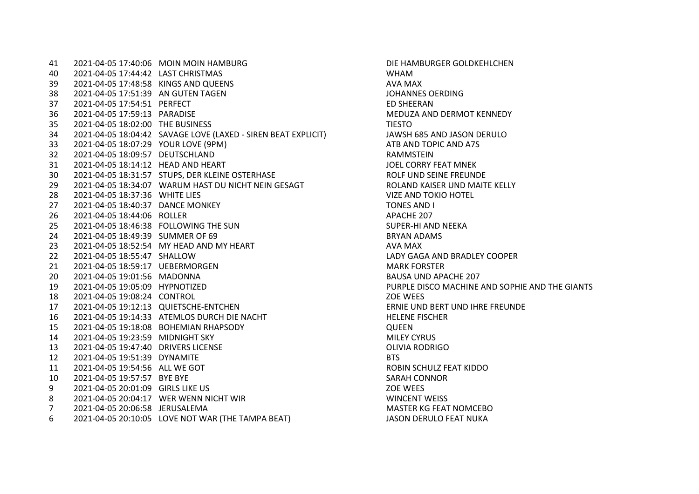2021-04-05 17:40:06 MOIN MOIN HAMBURG DIE HAMBURGER GOLDKEHLCHEN 2021-04-05 17:44:42 LAST CHRISTMAS WHAM 2021-04-05 17:48:58 KINGS AND QUEENS AVA MAX 2021-04-05 17:51:39 AN GUTEN TAGEN JOHANNES OERDING 2021-04-05 17:54:51 PERFECT ED SHEERAN 2021-04-05 17:59:13 PARADISE MEDUZA AND DERMOT KENNEDY 35 2021-04-05 18:02:00 THE BUSINESS THE SERVICE STATES TO THE STONE THAT THE STONE THAT THE STONE THAT THE STO 2021-04-05 18:04:42 SAVAGE LOVE (LAXED - SIREN BEAT EXPLICIT) JAWSH 685 AND JASON DERULO 2021-04-05 18:07:29 YOUR LOVE (9PM) ATB AND TOPIC AND A7S 2021-04-05 18:09:57 DEUTSCHLAND RAMMSTEIN 2021-04-05 18:14:12 HEAD AND HEART JOEL CORRY FEAT MNEK 30 2021-04-05 18:31:57 STUPS, DER KLEINE OSTERHASE ROLF UND SEINE FREUNDE 29 2021-04-05 18:34:07 WARUM HAST DU NICHT NEIN GESAGT ROLAND KAISER UND MAITE KELLY 2021-04-05 18:37:36 WHITE LIES VIZE AND TOKIO HOTEL 2021-04-05 18:40:37 DANCE MONKEY TONES AND I 2021-04-05 18:44:06 ROLLER APACHE 207 2021-04-05 18:46:38 FOLLOWING THE SUN SUPER-HI AND NEEKA 2021-04-05 18:49:39 SUMMER OF 69 BRYAN ADAMS 23 2021-04-05 18:52:54 MY HEAD AND MY HEART AVA MAX 2021-04-05 18:55:47 SHALLOW LADY GAGA AND BRADLEY COOPER 2021-04-05 18:59:17 UEBERMORGEN MARK FORSTER 2021-04-05 19:01:56 MADONNA BAUSA UND APACHE 207 2021-04-05 19:05:09 HYPNOTIZED PURPLE DISCO MACHINE AND SOPHIE AND THE GIANTS 2021-04-05 19:08:24 CONTROL ZOE WEES 2021-04-05 19:12:13 QUIETSCHE-ENTCHEN ERNIE UND BERT UND IHRE FREUNDE 16 2021-04-05 19:14:33 ATEMLOS DURCH DIE NACHT HELENE FISCHER HELENE FISCHER 2021-04-05 19:18:08 BOHEMIAN RHAPSODY QUEEN 2021-04-05 19:23:59 MIDNIGHT SKY MILEY CYRUS 2021-04-05 19:47:40 DRIVERS LICENSE OLIVIA RODRIGO 2021-04-05 19:51:39 DYNAMITE BTS 2021-04-05 19:54:56 ALL WE GOT ROBIN SCHULZ FEAT KIDDO 2021-04-05 19:57:57 BYE BYE SARAH CONNOR 2021-04-05 20:01:09 GIRLS LIKE US ZOE WEES 2021-04-05 20:04:17 WER WENN NICHT WIR WINCENT WEISS 2021-04-05 20:06:58 JERUSALEMA MASTER KG FEAT NOMCEBO 2021-04-05 20:10:05 LOVE NOT WAR (THE TAMPA BEAT) JASON DERULO FEAT NUKA